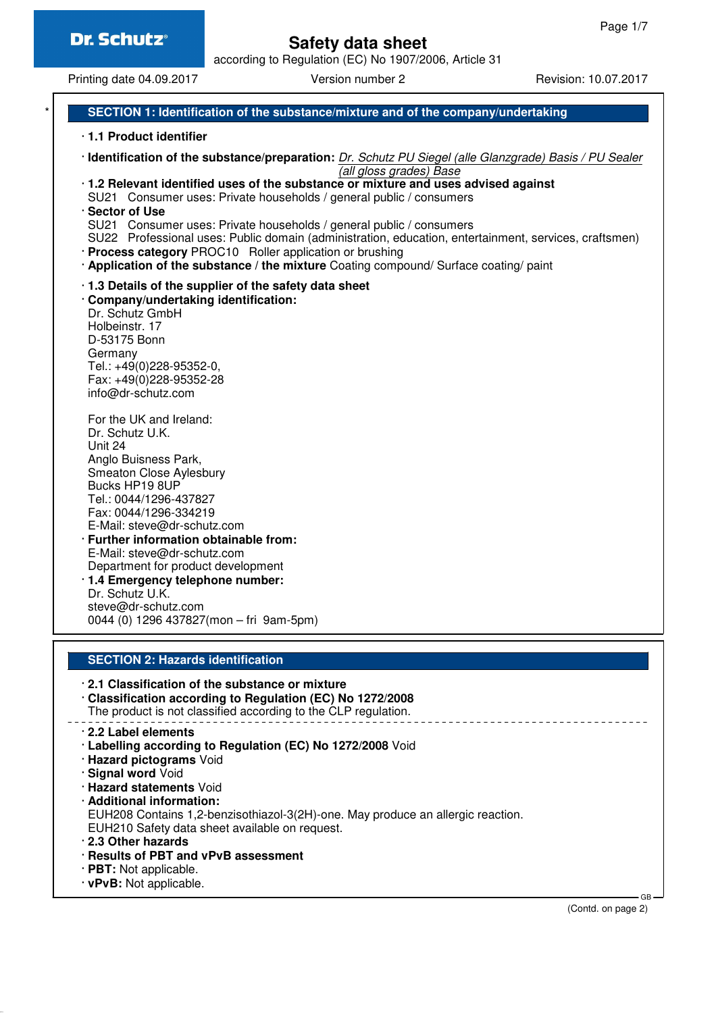# **Safety data sheet**

according to Regulation (EC) No 1907/2006, Article 31

Printing date 04.09.2017 Version number 2 Revision: 10.07.2017

## **SECTION 1: Identification of the substance/mixture and of the company/undertaking**

- · **1.1 Product identifier**
- · **Identification of the substance/preparation:** Dr. Schutz PU Siegel (alle Glanzgrade) Basis / PU Sealer (all gloss grades) Base
- · **1.2 Relevant identified uses of the substance or mixture and uses advised against**
- SU21 Consumer uses: Private households / general public / consumers
- · **Sector of Use**
- SU21 Consumer uses: Private households / general public / consumers
- SU22 Professional uses: Public domain (administration, education, entertainment, services, craftsmen) · **Process category** PROC10 Roller application or brushing
- · **Application of the substance / the mixture** Coating compound/ Surface coating/ paint
- · **1.3 Details of the supplier of the safety data sheet**
- · **Company/undertaking identification:** Dr. Schutz GmbH

Holbeinstr. 17 D-53175 Bonn Germany Tel.: +49(0)228-95352-0, Fax: +49(0)228-95352-28 info@dr-schutz.com

For the UK and Ireland: Dr. Schutz U.K. Unit 24 Anglo Buisness Park, Smeaton Close Aylesbury Bucks HP19 8UP Tel.: 0044/1296-437827 Fax: 0044/1296-334219 E-Mail: steve@dr-schutz.com · **Further information obtainable from:** E-Mail: steve@dr-schutz.com Department for product development · **1.4 Emergency telephone number:**

Dr. Schutz U.K. steve@dr-schutz.com 0044 (0) 1296 437827(mon – fri 9am-5pm)

### **SECTION 2: Hazards identification**

· **2.1 Classification of the substance or mixture**

- · **Classification according to Regulation (EC) No 1272/2008** The product is not classified according to the CLP regulation.
- · **2.2 Label elements**
- · **Labelling according to Regulation (EC) No 1272/2008** Void
- · **Hazard pictograms** Void
- · **Signal word** Void
- · **Hazard statements** Void
- · **Additional information:**
- EUH208 Contains 1,2-benzisothiazol-3(2H)-one. May produce an allergic reaction. EUH210 Safety data sheet available on request.
- · **2.3 Other hazards**
- · **Results of PBT and vPvB assessment**
- · **PBT:** Not applicable.
- · **vPvB:** Not applicable.

(Contd. on page 2)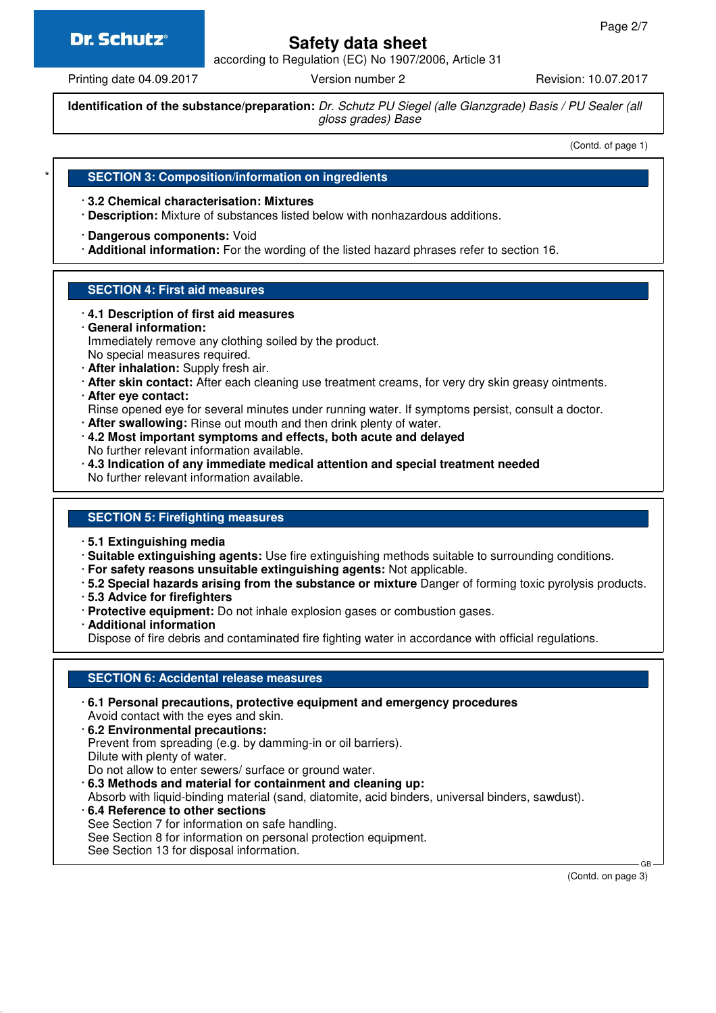# **Dr. Schutz®**

# **Safety data sheet**

according to Regulation (EC) No 1907/2006, Article 31

Printing date 04.09.2017 **Version number 2** Revision: 10.07.2017

**Identification of the substance/preparation:** Dr. Schutz PU Siegel (alle Glanzgrade) Basis / PU Sealer (all gloss grades) Base

(Contd. of page 1)

### **SECTION 3: Composition/information on ingredients**

· **3.2 Chemical characterisation: Mixtures**

- · **Description:** Mixture of substances listed below with nonhazardous additions.
- · **Dangerous components:** Void
- · **Additional information:** For the wording of the listed hazard phrases refer to section 16.

# **SECTION 4: First aid measures**

- · **4.1 Description of first aid measures**
- · **General information:**

Immediately remove any clothing soiled by the product.

No special measures required.

- · **After inhalation:** Supply fresh air.
- · **After skin contact:** After each cleaning use treatment creams, for very dry skin greasy ointments.
- · **After eye contact:**

Rinse opened eye for several minutes under running water. If symptoms persist, consult a doctor.

- · **After swallowing:** Rinse out mouth and then drink plenty of water.
- · **4.2 Most important symptoms and effects, both acute and delayed** No further relevant information available.
- · **4.3 Indication of any immediate medical attention and special treatment needed** No further relevant information available.

# **SECTION 5: Firefighting measures**

- · **5.1 Extinguishing media**
- · **Suitable extinguishing agents:** Use fire extinguishing methods suitable to surrounding conditions.
- · **For safety reasons unsuitable extinguishing agents:** Not applicable.
- · **5.2 Special hazards arising from the substance or mixture** Danger of forming toxic pyrolysis products.
- · **5.3 Advice for firefighters**
- · **Protective equipment:** Do not inhale explosion gases or combustion gases.
- · **Additional information**

Dispose of fire debris and contaminated fire fighting water in accordance with official regulations.

# **SECTION 6: Accidental release measures**

· **6.1 Personal precautions, protective equipment and emergency procedures** Avoid contact with the eyes and skin. · **6.2 Environmental precautions:** Prevent from spreading (e.g. by damming-in or oil barriers). Dilute with plenty of water. Do not allow to enter sewers/ surface or ground water. · **6.3 Methods and material for containment and cleaning up:** Absorb with liquid-binding material (sand, diatomite, acid binders, universal binders, sawdust). · **6.4 Reference to other sections** See Section 7 for information on safe handling. See Section 8 for information on personal protection equipment. See Section 13 for disposal information.

(Contd. on page 3)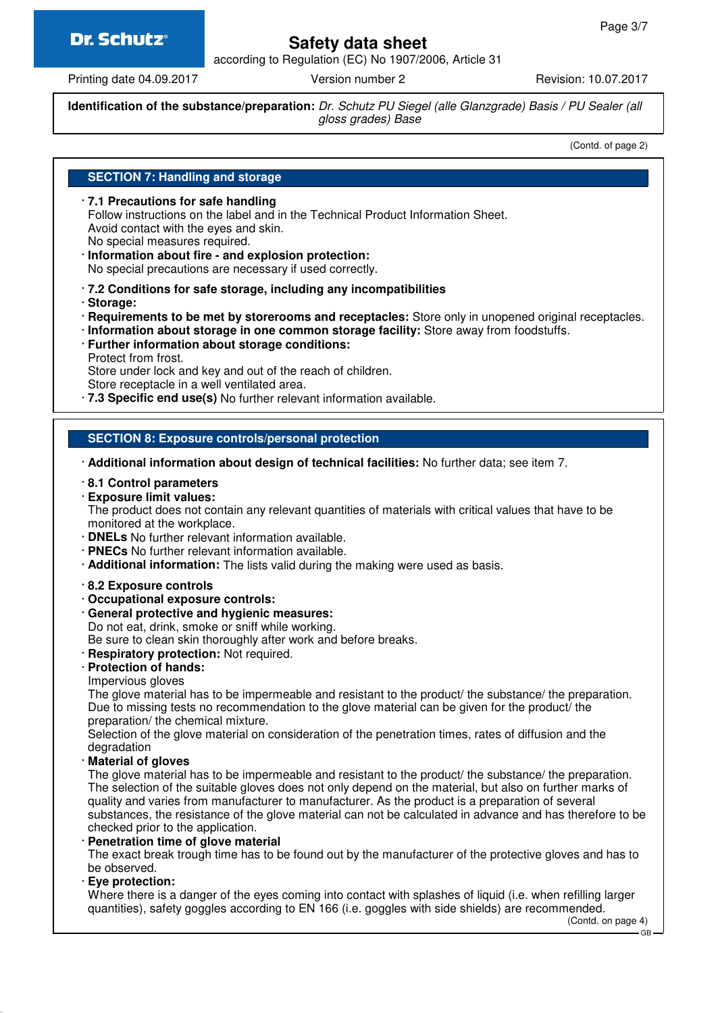# Dr. Schutz®

# **Safety data sheet**

according to Regulation (EC) No 1907/2006, Article 31

Printing date 04.09.2017 Version number 2 Revision: 10.07.2017

**Identification of the substance/preparation:** Dr. Schutz PU Siegel (alle Glanzgrade) Basis / PU Sealer (all gloss grades) Base

(Contd. of page 2)

### **SECTION 7: Handling and storage**

· **7.1 Precautions for safe handling** Follow instructions on the label and in the Technical Product Information Sheet. Avoid contact with the eyes and skin. No special measures required.

· **Information about fire - and explosion protection:** No special precautions are necessary if used correctly.

· **7.2 Conditions for safe storage, including any incompatibilities**

- · **Storage:**
- · **Requirements to be met by storerooms and receptacles:** Store only in unopened original receptacles.
- · **Information about storage in one common storage facility:** Store away from foodstuffs.
- · **Further information about storage conditions:** Protect from frost.

Store under lock and key and out of the reach of children.

Store receptacle in a well ventilated area.

· **7.3 Specific end use(s)** No further relevant information available.

### **SECTION 8: Exposure controls/personal protection**

- · **Additional information about design of technical facilities:** No further data; see item 7.
- · **8.1 Control parameters**
- · **Exposure limit values:**

The product does not contain any relevant quantities of materials with critical values that have to be monitored at the workplace.

- · **DNELs** No further relevant information available.
- · **PNECs** No further relevant information available.
- · **Additional information:** The lists valid during the making were used as basis.

#### · **8.2 Exposure controls**

- · **Occupational exposure controls:**
- · **General protective and hygienic measures:**
- Do not eat, drink, smoke or sniff while working.

Be sure to clean skin thoroughly after work and before breaks.

· **Respiratory protection:** Not required.

### · **Protection of hands:**

Impervious gloves

The glove material has to be impermeable and resistant to the product/ the substance/ the preparation. Due to missing tests no recommendation to the glove material can be given for the product/ the preparation/ the chemical mixture.

Selection of the glove material on consideration of the penetration times, rates of diffusion and the degradation

· **Material of gloves**

The glove material has to be impermeable and resistant to the product/ the substance/ the preparation. The selection of the suitable gloves does not only depend on the material, but also on further marks of quality and varies from manufacturer to manufacturer. As the product is a preparation of several substances, the resistance of the glove material can not be calculated in advance and has therefore to be checked prior to the application.

#### · **Penetration time of glove material**

The exact break trough time has to be found out by the manufacturer of the protective gloves and has to be observed.

· **Eye protection:**

Where there is a danger of the eyes coming into contact with splashes of liquid (i.e. when refilling larger quantities), safety goggles according to EN 166 (i.e. goggles with side shields) are recommended.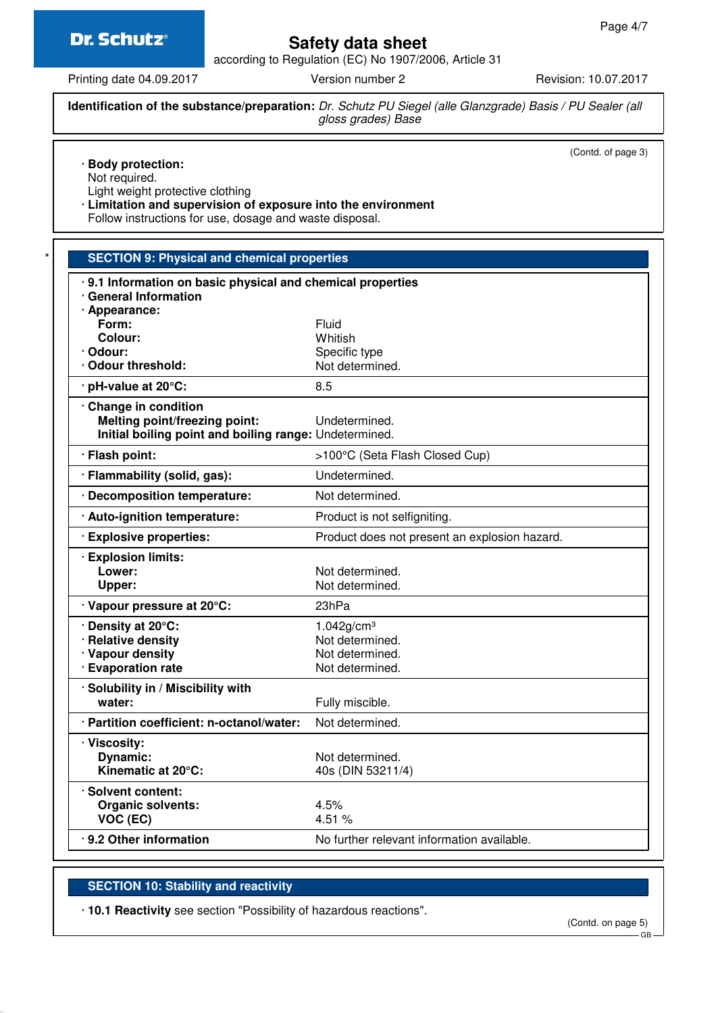

# **Safety data sheet**

according to Regulation (EC) No 1907/2006, Article 31

Printing date 04.09.2017 Version number 2 Revision: 10.07.2017

**Identification of the substance/preparation:** Dr. Schutz PU Siegel (alle Glanzgrade) Basis / PU Sealer (all gloss grades) Base

(Contd. of page 3)

| <b>Body protection:</b><br>Not required.<br>Light weight protective clothing                                             |                                               |
|--------------------------------------------------------------------------------------------------------------------------|-----------------------------------------------|
| · Limitation and supervision of exposure into the environment<br>Follow instructions for use, dosage and waste disposal. |                                               |
|                                                                                                                          |                                               |
| <b>SECTION 9: Physical and chemical properties</b>                                                                       |                                               |
| 9.1 Information on basic physical and chemical properties                                                                |                                               |
| · General Information                                                                                                    |                                               |
| · Appearance:<br>Form:                                                                                                   | Fluid                                         |
| <b>Colour:</b>                                                                                                           | Whitish                                       |
| · Odour:                                                                                                                 | Specific type                                 |
| · Odour threshold:                                                                                                       | Not determined.                               |
| · pH-value at 20°C:                                                                                                      | 8.5                                           |
| Change in condition                                                                                                      |                                               |
| Melting point/freezing point:                                                                                            | Undetermined.                                 |
| Initial boiling point and boiling range: Undetermined.                                                                   |                                               |
| · Flash point:                                                                                                           | >100°C (Seta Flash Closed Cup)                |
| · Flammability (solid, gas):                                                                                             | Undetermined.                                 |
| · Decomposition temperature:                                                                                             | Not determined.                               |
| · Auto-ignition temperature:                                                                                             | Product is not selfigniting.                  |
| · Explosive properties:                                                                                                  | Product does not present an explosion hazard. |
| · Explosion limits:                                                                                                      |                                               |
| Lower:                                                                                                                   | Not determined.                               |
| Upper:                                                                                                                   | Not determined.                               |
| · Vapour pressure at 20°C:                                                                                               | 23hPa                                         |
| . Density at 20°C:                                                                                                       | 1.042g/cm <sup>3</sup>                        |
| <b>Relative density</b>                                                                                                  | Not determined.                               |
| · Vapour density                                                                                                         | Not determined.                               |
| · Evaporation rate                                                                                                       | Not determined.                               |
| · Solubility in / Miscibility with                                                                                       |                                               |
| water:                                                                                                                   | Fully miscible.                               |
| · Partition coefficient: n-octanol/water:                                                                                | Not determined.                               |
| · Viscosity:                                                                                                             |                                               |
| Dynamic:                                                                                                                 | Not determined.                               |
| Kinematic at 20°C:                                                                                                       | 40s (DIN 53211/4)                             |
| · Solvent content:                                                                                                       |                                               |
| <b>Organic solvents:</b>                                                                                                 | 4.5%                                          |
| VOC (EC)                                                                                                                 | 4.51%                                         |
| · 9.2 Other information                                                                                                  | No further relevant information available.    |

# **SECTION 10: Stability and reactivity**

· **10.1 Reactivity** see section "Possibility of hazardous reactions".

(Contd. on page 5)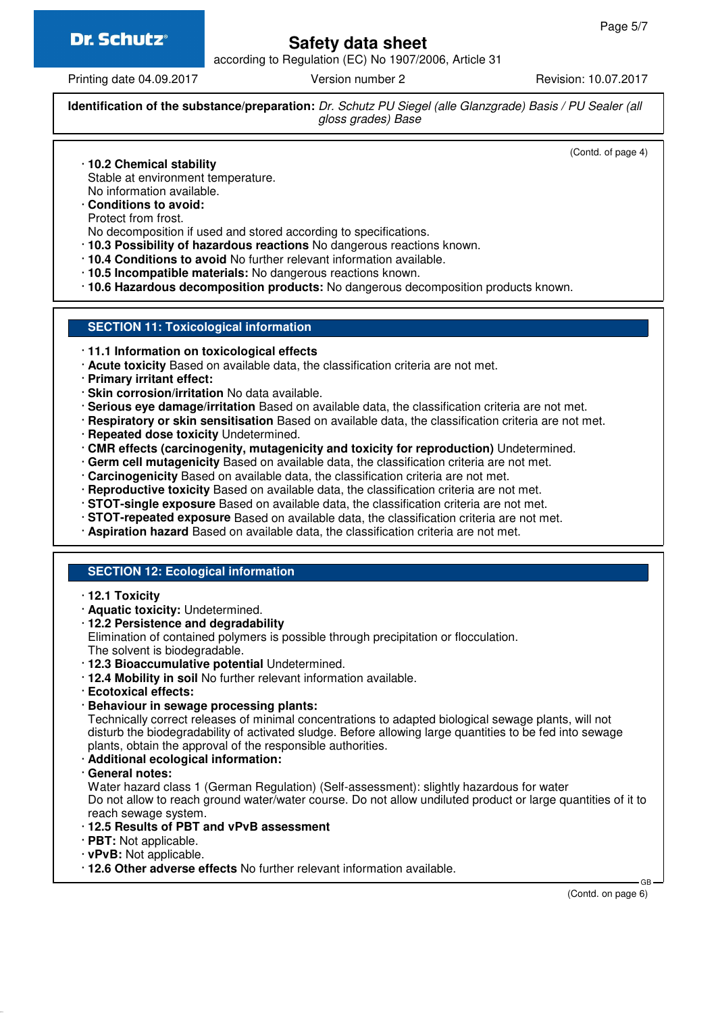

# **Safety data sheet**

according to Regulation (EC) No 1907/2006, Article 31

Printing date 04.09.2017 **Version number 2** Revision: 10.07.2017

**Identification of the substance/preparation:** Dr. Schutz PU Siegel (alle Glanzgrade) Basis / PU Sealer (all gloss grades) Base

(Contd. of page 4)

- · **10.2 Chemical stability**
- Stable at environment temperature. No information available.
- · **Conditions to avoid:**
- Protect from frost.
- No decomposition if used and stored according to specifications.
- · **10.3 Possibility of hazardous reactions** No dangerous reactions known.
- · **10.4 Conditions to avoid** No further relevant information available.
- · **10.5 Incompatible materials:** No dangerous reactions known.
- · **10.6 Hazardous decomposition products:** No dangerous decomposition products known.

#### **SECTION 11: Toxicological information**

- · **11.1 Information on toxicological effects**
- · **Acute toxicity** Based on available data, the classification criteria are not met.
- · **Primary irritant effect:**
- · **Skin corrosion/irritation** No data available.
- · **Serious eye damage/irritation** Based on available data, the classification criteria are not met.
- · **Respiratory or skin sensitisation** Based on available data, the classification criteria are not met.
- · **Repeated dose toxicity** Undetermined.
- · **CMR effects (carcinogenity, mutagenicity and toxicity for reproduction)** Undetermined.
- · **Germ cell mutagenicity** Based on available data, the classification criteria are not met.
- · **Carcinogenicity** Based on available data, the classification criteria are not met.
- · **Reproductive toxicity** Based on available data, the classification criteria are not met.
- · **STOT-single exposure** Based on available data, the classification criteria are not met.
- · **STOT-repeated exposure** Based on available data, the classification criteria are not met.
- · **Aspiration hazard** Based on available data, the classification criteria are not met.

### **SECTION 12: Ecological information**

- · **12.1 Toxicity**
- · **Aquatic toxicity:** Undetermined.
- · **12.2 Persistence and degradability**

Elimination of contained polymers is possible through precipitation or flocculation. The solvent is biodegradable.

- · **12.3 Bioaccumulative potential** Undetermined.
- · **12.4 Mobility in soil** No further relevant information available.
- · **Ecotoxical effects:**
- · **Behaviour in sewage processing plants:**

Technically correct releases of minimal concentrations to adapted biological sewage plants, will not disturb the biodegradability of activated sludge. Before allowing large quantities to be fed into sewage plants, obtain the approval of the responsible authorities.

# · **Additional ecological information:**

· **General notes:**

Water hazard class 1 (German Regulation) (Self-assessment): slightly hazardous for water Do not allow to reach ground water/water course. Do not allow undiluted product or large quantities of it to reach sewage system.

- · **12.5 Results of PBT and vPvB assessment**
- · **PBT:** Not applicable.
- · **vPvB:** Not applicable.
- · **12.6 Other adverse effects** No further relevant information available.

(Contd. on page 6)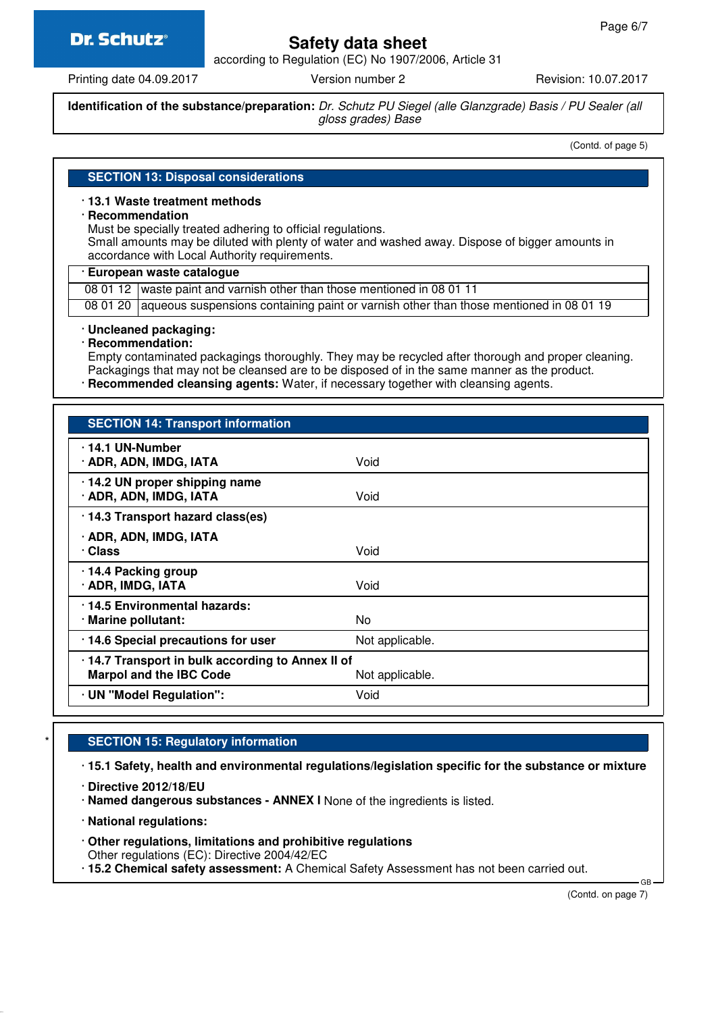# **Dr. Schutz®**

# **Safety data sheet**

according to Regulation (EC) No 1907/2006, Article 31

Printing date 04.09.2017 **Version number 2** Revision: 10.07.2017

**Identification of the substance/preparation:** Dr. Schutz PU Siegel (alle Glanzgrade) Basis / PU Sealer (all gloss grades) Base

(Contd. of page 5)

# **SECTION 13: Disposal considerations**

### · **13.1 Waste treatment methods**

#### · **Recommendation**

Must be specially treated adhering to official regulations.

Small amounts may be diluted with plenty of water and washed away. Dispose of bigger amounts in accordance with Local Authority requirements.

### · **European waste catalogue**

08 01 12 waste paint and varnish other than those mentioned in 08 01 11

08 01 20 | aqueous suspensions containing paint or varnish other than those mentioned in 08 01 19

#### · **Uncleaned packaging:**

· **Recommendation:**

Empty contaminated packagings thoroughly. They may be recycled after thorough and proper cleaning. Packagings that may not be cleansed are to be disposed of in the same manner as the product.

· **Recommended cleansing agents:** Water, if necessary together with cleansing agents.

| <b>SECTION 14: Transport information</b>                                                             |                 |  |
|------------------------------------------------------------------------------------------------------|-----------------|--|
| $\cdot$ 14.1 UN-Number<br>· ADR, ADN, IMDG, IATA                                                     | Void            |  |
| $\cdot$ 14.2 UN proper shipping name<br>· ADR, ADN, IMDG, IATA                                       | Void            |  |
| · 14.3 Transport hazard class(es)                                                                    |                 |  |
| · ADR, ADN, IMDG, IATA<br>· Class                                                                    | Void            |  |
| 14.4 Packing group<br>· ADR, IMDG, IATA                                                              | Void            |  |
| · 14.5 Environmental hazards:<br>· Marine pollutant:                                                 | No              |  |
| · 14.6 Special precautions for user                                                                  | Not applicable. |  |
| 14.7 Transport in bulk according to Annex II of<br><b>Marpol and the IBC Code</b><br>Not applicable. |                 |  |
| · UN "Model Regulation":                                                                             | Void            |  |

### **SECTION 15: Regulatory information**

· **15.1 Safety, health and environmental regulations/legislation specific for the substance or mixture**

· **Directive 2012/18/EU**

· **Named dangerous substances - ANNEX I** None of the ingredients is listed.

· **National regulations:**

· **Other regulations, limitations and prohibitive regulations** Other regulations (EC): Directive 2004/42/EC

· **15.2 Chemical safety assessment:** A Chemical Safety Assessment has not been carried out.

(Contd. on page 7)